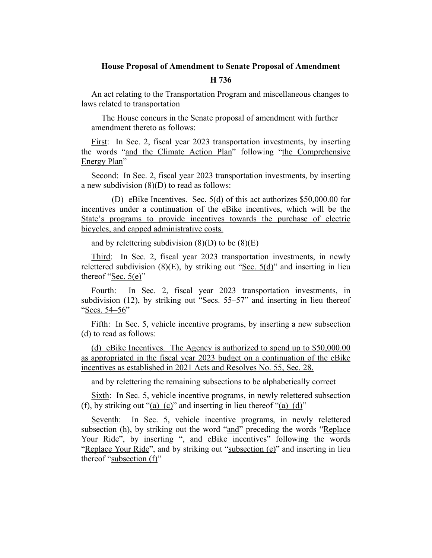## **House Proposal of Amendment to Senate Proposal of Amendment**

## **H 736**

An act relating to the Transportation Program and miscellaneous changes to laws related to transportation

The House concurs in the Senate proposal of amendment with further amendment thereto as follows:

First: In Sec. 2, fiscal year 2023 transportation investments, by inserting the words "and the Climate Action Plan" following "the Comprehensive Energy Plan"

Second: In Sec. 2, fiscal year 2023 transportation investments, by inserting a new subdivision (8)(D) to read as follows:

(D) eBike Incentives. Sec. 5(d) of this act authorizes \$50,000.00 for incentives under a continuation of the eBike incentives, which will be the State's programs to provide incentives towards the purchase of electric bicycles, and capped administrative costs.

and by relettering subdivision  $(8)(D)$  to be  $(8)(E)$ 

Third: In Sec. 2, fiscal year 2023 transportation investments, in newly relettered subdivision  $(8)(E)$ , by striking out "Sec.  $5(d)$ " and inserting in lieu thereof "Sec. 5(e)"

Fourth: In Sec. 2, fiscal year 2023 transportation investments, in subdivision (12), by striking out "Secs. 55–57" and inserting in lieu thereof "Secs. 54–56"

Fifth: In Sec. 5, vehicle incentive programs, by inserting a new subsection (d) to read as follows:

(d) eBike Incentives. The Agency is authorized to spend up to \$50,000.00 as appropriated in the fiscal year 2023 budget on a continuation of the eBike incentives as established in 2021 Acts and Resolves No. 55, Sec. 28.

and by relettering the remaining subsections to be alphabetically correct

Sixth: In Sec. 5, vehicle incentive programs, in newly relettered subsection (f), by striking out "(a)–(c)" and inserting in lieu thereof "(a)–(d)"

Seventh: In Sec. 5, vehicle incentive programs, in newly relettered subsection (h), by striking out the word "and" preceding the words "Replace Your Ride", by inserting ", and eBike incentives" following the words "Replace Your Ride", and by striking out "subsection (e)" and inserting in lieu thereof "subsection (f)"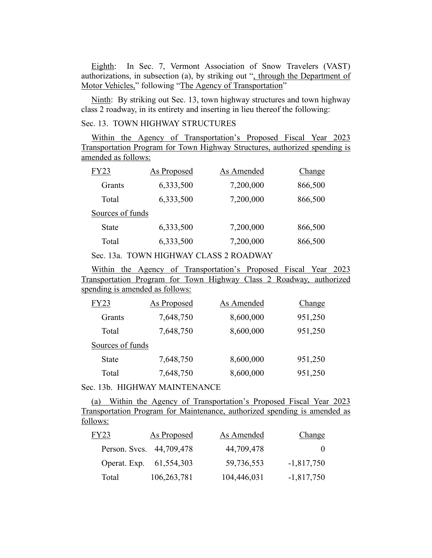Eighth: In Sec. 7, Vermont Association of Snow Travelers (VAST) authorizations, in subsection (a), by striking out ", through the Department of Motor Vehicles," following "The Agency of Transportation"

Ninth: By striking out Sec. 13, town highway structures and town highway class 2 roadway, in its entirety and inserting in lieu thereof the following:

## Sec. 13. TOWN HIGHWAY STRUCTURES

Within the Agency of Transportation's Proposed Fiscal Year 2023 Transportation Program for Town Highway Structures, authorized spending is amended as follows:

| FY23             | <b>As Proposed</b> | As Amended | Change  |
|------------------|--------------------|------------|---------|
| Grants           | 6,333,500          | 7,200,000  | 866,500 |
| Total            | 6,333,500          | 7,200,000  | 866,500 |
| Sources of funds |                    |            |         |
| <b>State</b>     | 6,333,500          | 7,200,000  | 866,500 |
| Total            | 6,333,500          | 7,200,000  | 866,500 |

Sec. 13a. TOWN HIGHWAY CLASS 2 ROADWAY

Within the Agency of Transportation's Proposed Fiscal Year 2023 Transportation Program for Town Highway Class 2 Roadway, authorized spending is amended as follows:

| FY23             | <b>As Proposed</b> | As Amended | Change  |
|------------------|--------------------|------------|---------|
| Grants           | 7,648,750          | 8,600,000  | 951,250 |
| Total            | 7,648,750          | 8,600,000  | 951,250 |
| Sources of funds |                    |            |         |
| <b>State</b>     | 7,648,750          | 8,600,000  | 951,250 |
| Total            | 7,648,750          | 8,600,000  | 951,250 |

Sec. 13b. HIGHWAY MAINTENANCE

(a) Within the Agency of Transportation's Proposed Fiscal Year 2023 Transportation Program for Maintenance, authorized spending is amended as follows:

| FY23  | <b>As Proposed</b>       | As Amended  | <b>Change</b> |
|-------|--------------------------|-------------|---------------|
|       | Person. Svcs. 44,709,478 | 44,709,478  | $\mathbf{0}$  |
|       | Operat. Exp. 61,554,303  | 59,736,553  | $-1,817,750$  |
| Total | 106,263,781              | 104,446,031 | $-1,817,750$  |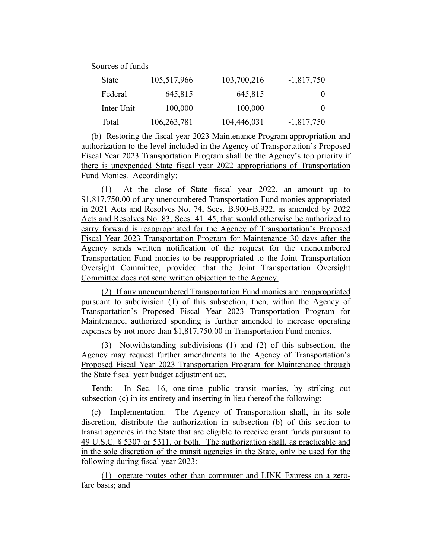Sources of funds

| State      | 105,517,966 | 103,700,216 | $-1,817,750$ |
|------------|-------------|-------------|--------------|
| Federal    | 645,815     | 645,815     | $\theta$     |
| Inter Unit | 100,000     | 100,000     | $\mathbf{0}$ |
| Total      | 106,263,781 | 104,446,031 | $-1,817,750$ |

(b) Restoring the fiscal year 2023 Maintenance Program appropriation and authorization to the level included in the Agency of Transportation's Proposed Fiscal Year 2023 Transportation Program shall be the Agency's top priority if there is unexpended State fiscal year 2022 appropriations of Transportation Fund Monies. Accordingly:

(1) At the close of State fiscal year 2022, an amount up to \$1,817,750.00 of any unencumbered Transportation Fund monies appropriated in 2021 Acts and Resolves No. 74, Secs. B.900–B.922, as amended by 2022 Acts and Resolves No. 83, Secs. 41–45, that would otherwise be authorized to carry forward is reappropriated for the Agency of Transportation's Proposed Fiscal Year 2023 Transportation Program for Maintenance 30 days after the Agency sends written notification of the request for the unencumbered Transportation Fund monies to be reappropriated to the Joint Transportation Oversight Committee, provided that the Joint Transportation Oversight Committee does not send written objection to the Agency.

(2) If any unencumbered Transportation Fund monies are reappropriated pursuant to subdivision (1) of this subsection, then, within the Agency of Transportation's Proposed Fiscal Year 2023 Transportation Program for Maintenance, authorized spending is further amended to increase operating expenses by not more than \$1,817,750.00 in Transportation Fund monies.

(3) Notwithstanding subdivisions (1) and (2) of this subsection, the Agency may request further amendments to the Agency of Transportation's Proposed Fiscal Year 2023 Transportation Program for Maintenance through the State fiscal year budget adjustment act.

Tenth: In Sec. 16, one-time public transit monies, by striking out subsection (c) in its entirety and inserting in lieu thereof the following:

(c) Implementation. The Agency of Transportation shall, in its sole discretion, distribute the authorization in subsection (b) of this section to transit agencies in the State that are eligible to receive grant funds pursuant to 49 U.S.C. § 5307 or 5311, or both. The authorization shall, as practicable and in the sole discretion of the transit agencies in the State, only be used for the following during fiscal year 2023:

(1) operate routes other than commuter and LINK Express on a zerofare basis; and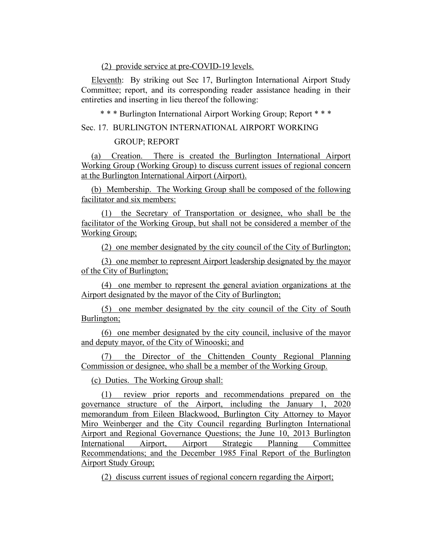(2) provide service at pre-COVID-19 levels.

Eleventh: By striking out Sec 17, Burlington International Airport Study Committee; report, and its corresponding reader assistance heading in their entireties and inserting in lieu thereof the following:

\* \* \* Burlington International Airport Working Group; Report \* \* \*

Sec. 17. BURLINGTON INTERNATIONAL AIRPORT WORKING

## GROUP; REPORT

(a) Creation. There is created the Burlington International Airport Working Group (Working Group) to discuss current issues of regional concern at the Burlington International Airport (Airport).

(b) Membership. The Working Group shall be composed of the following facilitator and six members:

(1) the Secretary of Transportation or designee, who shall be the facilitator of the Working Group, but shall not be considered a member of the Working Group;

(2) one member designated by the city council of the City of Burlington;

(3) one member to represent Airport leadership designated by the mayor of the City of Burlington;

(4) one member to represent the general aviation organizations at the Airport designated by the mayor of the City of Burlington;

(5) one member designated by the city council of the City of South Burlington;

(6) one member designated by the city council, inclusive of the mayor and deputy mayor, of the City of Winooski; and

(7) the Director of the Chittenden County Regional Planning Commission or designee, who shall be a member of the Working Group.

(c) Duties. The Working Group shall:

(1) review prior reports and recommendations prepared on the governance structure of the Airport, including the January 1, 2020 memorandum from Eileen Blackwood, Burlington City Attorney to Mayor Miro Weinberger and the City Council regarding Burlington International Airport and Regional Governance Questions; the June 10, 2013 Burlington International Airport, Airport Strategic Planning Committee Recommendations; and the December 1985 Final Report of the Burlington Airport Study Group;

(2) discuss current issues of regional concern regarding the Airport;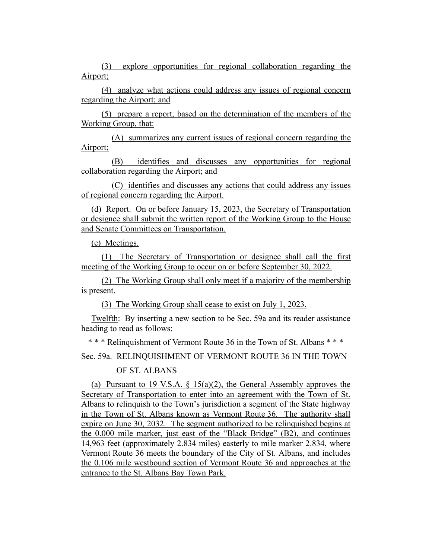(3) explore opportunities for regional collaboration regarding the Airport;

(4) analyze what actions could address any issues of regional concern regarding the Airport; and

(5) prepare a report, based on the determination of the members of the Working Group, that:

(A) summarizes any current issues of regional concern regarding the Airport;

(B) identifies and discusses any opportunities for regional collaboration regarding the Airport; and

(C) identifies and discusses any actions that could address any issues of regional concern regarding the Airport.

(d) Report. On or before January 15, 2023, the Secretary of Transportation or designee shall submit the written report of the Working Group to the House and Senate Committees on Transportation.

(e) Meetings.

(1) The Secretary of Transportation or designee shall call the first meeting of the Working Group to occur on or before September 30, 2022.

(2) The Working Group shall only meet if a majority of the membership is present.

(3) The Working Group shall cease to exist on July 1, 2023.

Twelfth: By inserting a new section to be Sec. 59a and its reader assistance heading to read as follows:

\* \* \* Relinquishment of Vermont Route 36 in the Town of St. Albans \* \* \*

Sec. 59a. RELINQUISHMENT OF VERMONT ROUTE 36 IN THE TOWN

OF ST. ALBANS

(a) Pursuant to 19 V.S.A. § 15(a)(2), the General Assembly approves the Secretary of Transportation to enter into an agreement with the Town of St. Albans to relinquish to the Town's jurisdiction a segment of the State highway in the Town of St. Albans known as Vermont Route 36. The authority shall expire on June 30, 2032. The segment authorized to be relinquished begins at the 0.000 mile marker, just east of the "Black Bridge" (B2), and continues 14,963 feet (approximately 2.834 miles) easterly to mile marker 2.834, where Vermont Route 36 meets the boundary of the City of St. Albans, and includes the 0.106 mile westbound section of Vermont Route 36 and approaches at the entrance to the St. Albans Bay Town Park.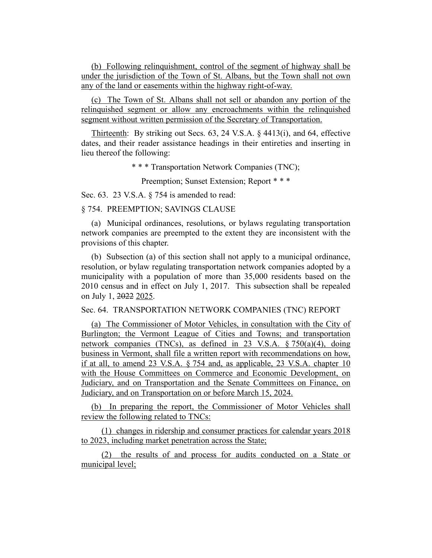(b) Following relinquishment, control of the segment of highway shall be under the jurisdiction of the Town of St. Albans, but the Town shall not own any of the land or easements within the highway right-of-way.

(c) The Town of St. Albans shall not sell or abandon any portion of the relinquished segment or allow any encroachments within the relinquished segment without written permission of the Secretary of Transportation.

Thirteenth: By striking out Secs. 63, 24 V.S.A. § 4413(i), and 64, effective dates, and their reader assistance headings in their entireties and inserting in lieu thereof the following:

\* \* \* Transportation Network Companies (TNC);

Preemption; Sunset Extension; Report \* \* \*

Sec. 63. 23 V.S.A. § 754 is amended to read:

§ 754. PREEMPTION; SAVINGS CLAUSE

(a) Municipal ordinances, resolutions, or bylaws regulating transportation network companies are preempted to the extent they are inconsistent with the provisions of this chapter.

(b) Subsection (a) of this section shall not apply to a municipal ordinance, resolution, or bylaw regulating transportation network companies adopted by a municipality with a population of more than 35,000 residents based on the 2010 census and in effect on July 1, 2017. This subsection shall be repealed on July 1, 2022 2025.

Sec. 64. TRANSPORTATION NETWORK COMPANIES (TNC) REPORT

(a) The Commissioner of Motor Vehicles, in consultation with the City of Burlington; the Vermont League of Cities and Towns; and transportation network companies (TNCs), as defined in 23 V.S.A. § 750(a)(4), doing business in Vermont, shall file a written report with recommendations on how, if at all, to amend 23 V.S.A. § 754 and, as applicable, 23 V.S.A. chapter 10 with the House Committees on Commerce and Economic Development, on Judiciary, and on Transportation and the Senate Committees on Finance, on Judiciary, and on Transportation on or before March 15, 2024.

(b) In preparing the report, the Commissioner of Motor Vehicles shall review the following related to TNCs:

(1) changes in ridership and consumer practices for calendar years 2018 to 2023, including market penetration across the State;

(2) the results of and process for audits conducted on a State or municipal level;